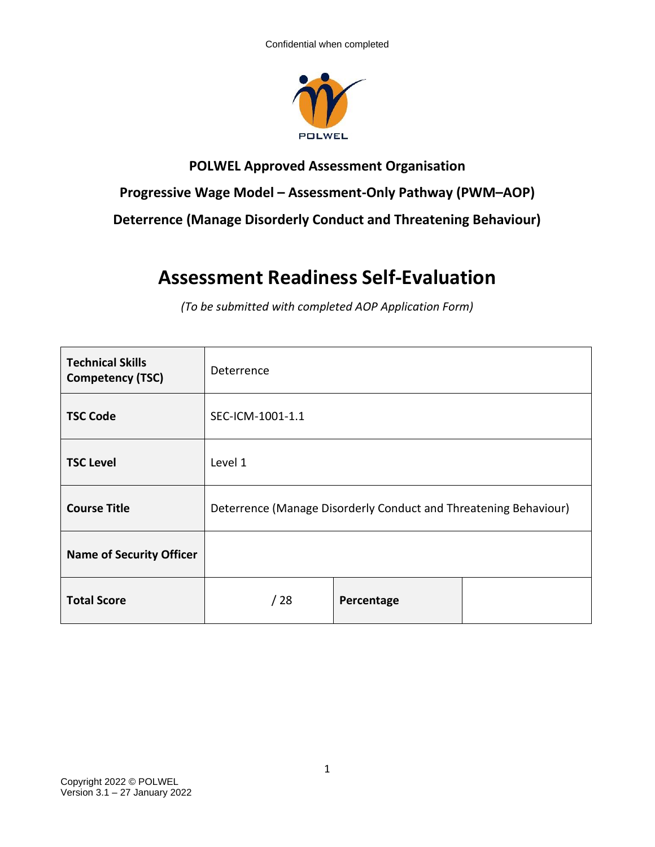

## **POLWEL Approved Assessment Organisation Progressive Wage Model – Assessment-Only Pathway (PWM–AOP) Deterrence (Manage Disorderly Conduct and Threatening Behaviour)**

## **Assessment Readiness Self-Evaluation**

*(To be submitted with completed AOP Application Form)*

| <b>Technical Skills</b><br><b>Competency (TSC)</b> | Deterrence       |                                                                  |  |
|----------------------------------------------------|------------------|------------------------------------------------------------------|--|
| <b>TSC Code</b>                                    | SEC-ICM-1001-1.1 |                                                                  |  |
| <b>TSC Level</b>                                   | Level 1          |                                                                  |  |
| <b>Course Title</b>                                |                  | Deterrence (Manage Disorderly Conduct and Threatening Behaviour) |  |
| <b>Name of Security Officer</b>                    |                  |                                                                  |  |
| <b>Total Score</b>                                 | /28              | Percentage                                                       |  |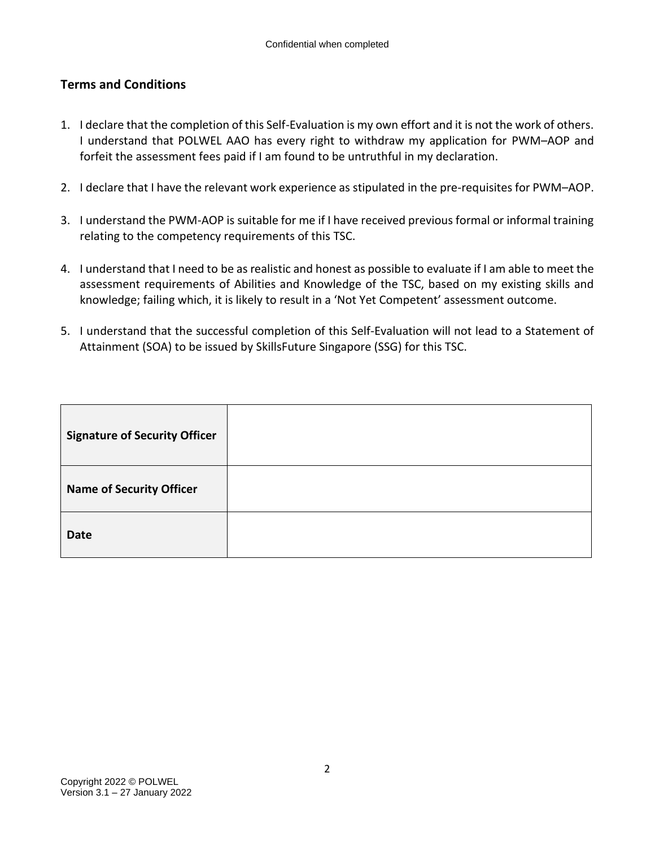## **Terms and Conditions**

- 1. I declare that the completion of this Self-Evaluation is my own effort and it is not the work of others. I understand that POLWEL AAO has every right to withdraw my application for PWM–AOP and forfeit the assessment fees paid if I am found to be untruthful in my declaration.
- 2. I declare that I have the relevant work experience as stipulated in the pre-requisites for PWM–AOP.
- 3. I understand the PWM-AOP is suitable for me if I have received previous formal or informal training relating to the competency requirements of this TSC.
- 4. I understand that I need to be as realistic and honest as possible to evaluate if I am able to meet the assessment requirements of Abilities and Knowledge of the TSC, based on my existing skills and knowledge; failing which, it is likely to result in a 'Not Yet Competent' assessment outcome.
- 5. I understand that the successful completion of this Self-Evaluation will not lead to a Statement of Attainment (SOA) to be issued by SkillsFuture Singapore (SSG) for this TSC.

| <b>Signature of Security Officer</b> |  |
|--------------------------------------|--|
| <b>Name of Security Officer</b>      |  |
| <b>Date</b>                          |  |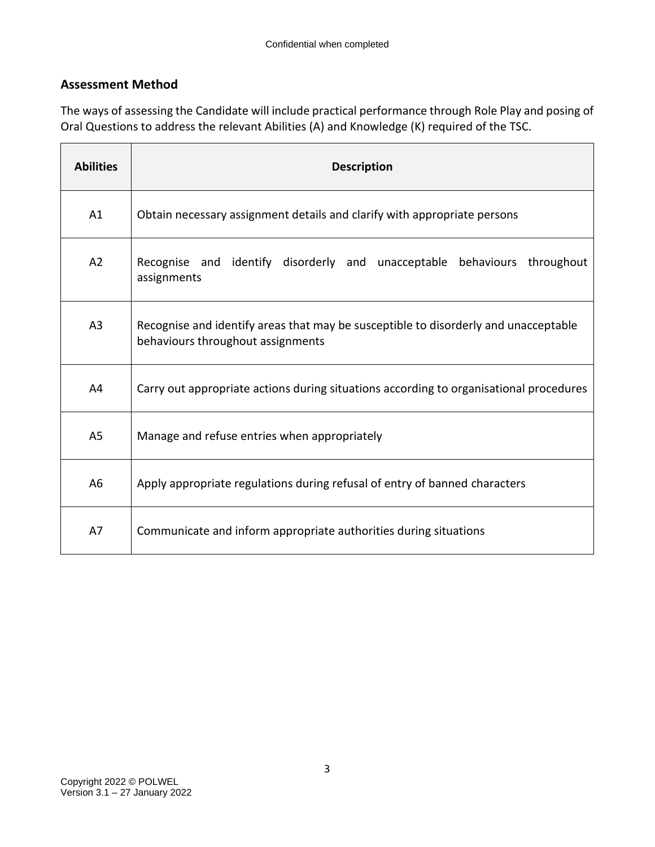## **Assessment Method**

The ways of assessing the Candidate will include practical performance through Role Play and posing of Oral Questions to address the relevant Abilities (A) and Knowledge (K) required of the TSC.

| <b>Abilities</b> | <b>Description</b>                                                                                                       |
|------------------|--------------------------------------------------------------------------------------------------------------------------|
| A1               | Obtain necessary assignment details and clarify with appropriate persons                                                 |
| A2               | Recognise and identify disorderly and unacceptable behaviours throughout<br>assignments                                  |
| A <sub>3</sub>   | Recognise and identify areas that may be susceptible to disorderly and unacceptable<br>behaviours throughout assignments |
| A4               | Carry out appropriate actions during situations according to organisational procedures                                   |
| A <sub>5</sub>   | Manage and refuse entries when appropriately                                                                             |
| A <sub>6</sub>   | Apply appropriate regulations during refusal of entry of banned characters                                               |
| A7               | Communicate and inform appropriate authorities during situations                                                         |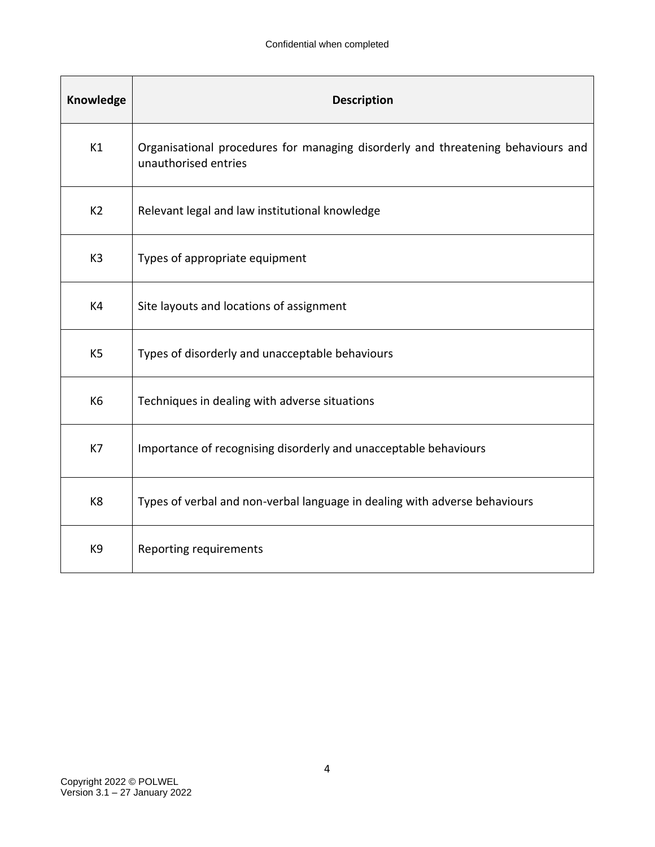| Knowledge      | <b>Description</b>                                                                                       |
|----------------|----------------------------------------------------------------------------------------------------------|
| K1             | Organisational procedures for managing disorderly and threatening behaviours and<br>unauthorised entries |
| K <sub>2</sub> | Relevant legal and law institutional knowledge                                                           |
| K <sub>3</sub> | Types of appropriate equipment                                                                           |
| K4             | Site layouts and locations of assignment                                                                 |
| K <sub>5</sub> | Types of disorderly and unacceptable behaviours                                                          |
| K <sub>6</sub> | Techniques in dealing with adverse situations                                                            |
| K7             | Importance of recognising disorderly and unacceptable behaviours                                         |
| K8             | Types of verbal and non-verbal language in dealing with adverse behaviours                               |
| K9             | Reporting requirements                                                                                   |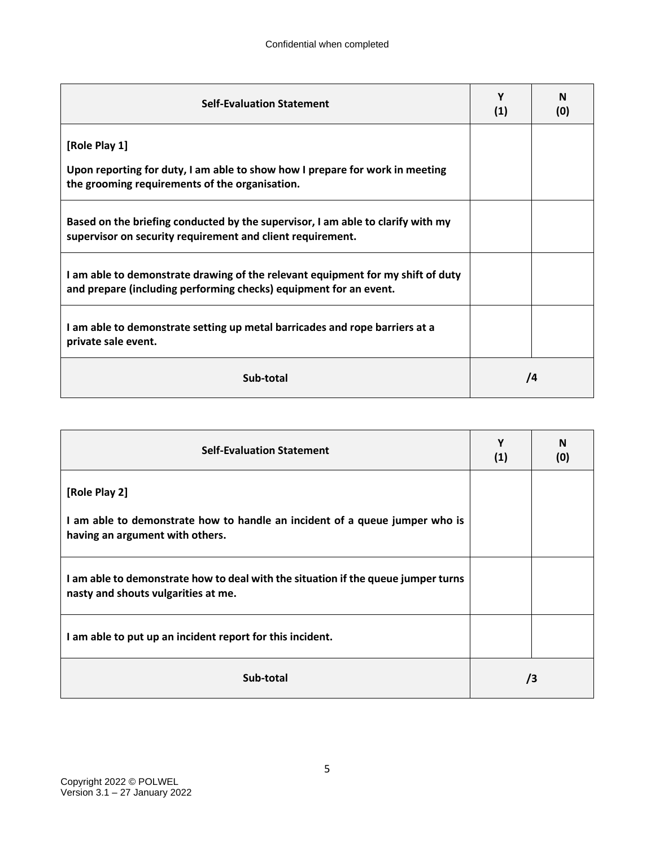| <b>Self-Evaluation Statement</b>                                                                                                                     | Υ<br>(1) | N<br>(0)   |
|------------------------------------------------------------------------------------------------------------------------------------------------------|----------|------------|
| [Role Play 1]                                                                                                                                        |          |            |
| Upon reporting for duty, I am able to show how I prepare for work in meeting<br>the grooming requirements of the organisation.                       |          |            |
| Based on the briefing conducted by the supervisor, I am able to clarify with my<br>supervisor on security requirement and client requirement.        |          |            |
| I am able to demonstrate drawing of the relevant equipment for my shift of duty<br>and prepare (including performing checks) equipment for an event. |          |            |
| I am able to demonstrate setting up metal barricades and rope barriers at a<br>private sale event.                                                   |          |            |
| Sub-total                                                                                                                                            |          | $\sqrt{4}$ |

| <b>Self-Evaluation Statement</b>                                                                                         | Υ<br>(1)   | N<br>(0) |
|--------------------------------------------------------------------------------------------------------------------------|------------|----------|
| [Role Play 2]                                                                                                            |            |          |
| I am able to demonstrate how to handle an incident of a queue jumper who is<br>having an argument with others.           |            |          |
| I am able to demonstrate how to deal with the situation if the queue jumper turns<br>nasty and shouts vulgarities at me. |            |          |
| I am able to put up an incident report for this incident.                                                                |            |          |
| Sub-total                                                                                                                | $\sqrt{3}$ |          |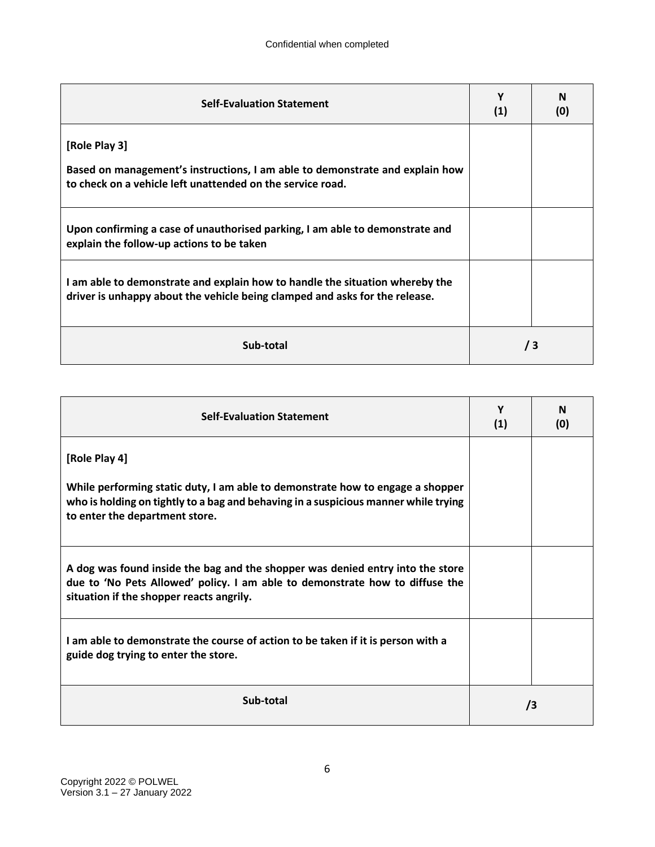| <b>Self-Evaluation Statement</b>                                                                                                                            | Υ<br>(1) | N<br>(0) |
|-------------------------------------------------------------------------------------------------------------------------------------------------------------|----------|----------|
| [Role Play 3]<br>Based on management's instructions, I am able to demonstrate and explain how<br>to check on a vehicle left unattended on the service road. |          |          |
| Upon confirming a case of unauthorised parking, I am able to demonstrate and<br>explain the follow-up actions to be taken                                   |          |          |
| I am able to demonstrate and explain how to handle the situation whereby the<br>driver is unhappy about the vehicle being clamped and asks for the release. |          |          |
| Sub-total                                                                                                                                                   | /3       |          |

| <b>Self-Evaluation Statement</b>                                                                                                                                                                                         | Y<br>(1) | N<br>(0) |
|--------------------------------------------------------------------------------------------------------------------------------------------------------------------------------------------------------------------------|----------|----------|
| [Role Play 4]<br>While performing static duty, I am able to demonstrate how to engage a shopper<br>who is holding on tightly to a bag and behaving in a suspicious manner while trying<br>to enter the department store. |          |          |
| A dog was found inside the bag and the shopper was denied entry into the store<br>due to 'No Pets Allowed' policy. I am able to demonstrate how to diffuse the<br>situation if the shopper reacts angrily.               |          |          |
| I am able to demonstrate the course of action to be taken if it is person with a<br>guide dog trying to enter the store.                                                                                                 |          |          |
| Sub-total                                                                                                                                                                                                                | /3       |          |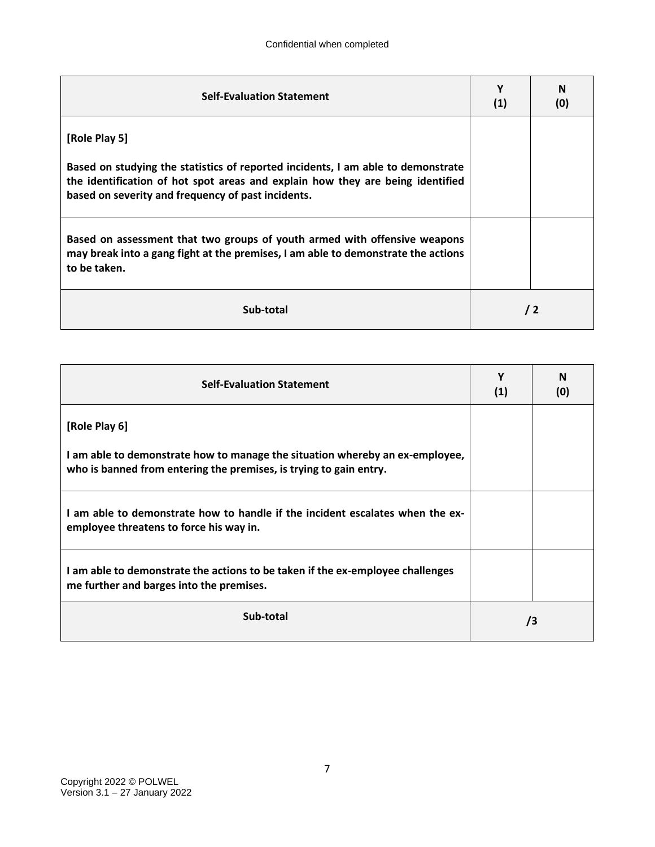| <b>Self-Evaluation Statement</b>                                                                                                                                               | Υ<br>(1) | N<br>(0)   |
|--------------------------------------------------------------------------------------------------------------------------------------------------------------------------------|----------|------------|
| [Role Play 5]<br>Based on studying the statistics of reported incidents, I am able to demonstrate                                                                              |          |            |
| the identification of hot spot areas and explain how they are being identified<br>based on severity and frequency of past incidents.                                           |          |            |
| Based on assessment that two groups of youth armed with offensive weapons<br>may break into a gang fight at the premises, I am able to demonstrate the actions<br>to be taken. |          |            |
| Sub-total                                                                                                                                                                      |          | $\sqrt{2}$ |

| <b>Self-Evaluation Statement</b>                                                                                                                   | γ<br>(1) | N<br>(0) |
|----------------------------------------------------------------------------------------------------------------------------------------------------|----------|----------|
| [Role Play 6]                                                                                                                                      |          |          |
| I am able to demonstrate how to manage the situation whereby an ex-employee,<br>who is banned from entering the premises, is trying to gain entry. |          |          |
| I am able to demonstrate how to handle if the incident escalates when the ex-<br>employee threatens to force his way in.                           |          |          |
| I am able to demonstrate the actions to be taken if the ex-employee challenges<br>me further and barges into the premises.                         |          |          |
| Sub-total                                                                                                                                          |          | /3       |